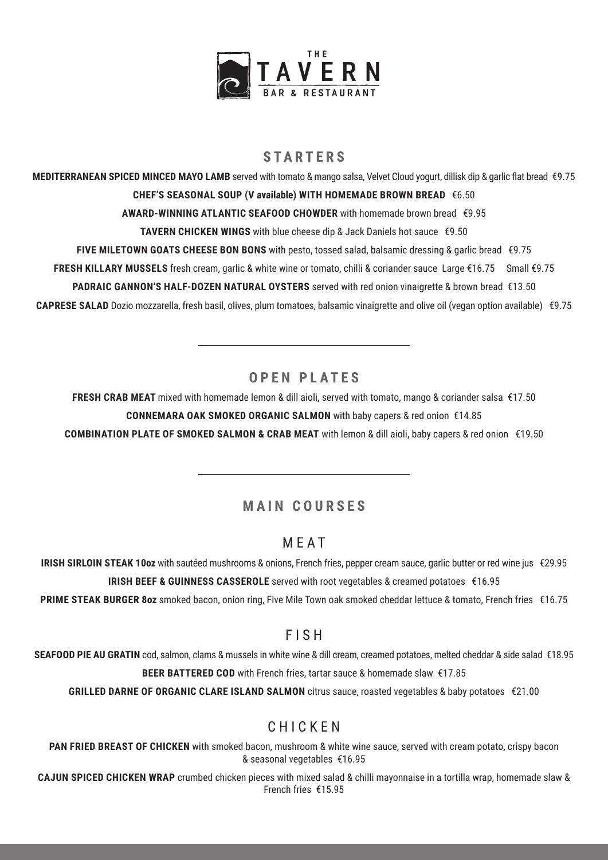

## **STARTERS**

**MEDITERRANEAN SPICED MINCED MAYO LAMB** served with tomato & mango salsa, Velvet Cloud yogurt, dillisk dip & garlic flat bread €9.75 **CHEF'S SEASONAL SOUP (V available) WITH HOMEMADE BROWN BREAD** €6.50 **AWARD-WINNING ATLANTIC SEAFOOD CHOWDER** with homemade brown bread €9.95 **TAVERN CHICKEN WINGS** with blue cheese dip & Jack Daniels hot sauce €9.50 **FIVE MILETOWN GOATS CHEESE BON BONS** with pesto, tossed salad, balsamic dressing & garlic bread €9.75 **FRESH KILLARY MUSSELS** fresh cream, garlic & white wine or tomato, chilli & coriander sauce Large €16.75 Small €9.75 **PADRAIC GANNON'S HALF-DOZEN NATURAL OYSTERS** served with red onion vinaigrette & brown bread €13.50 **CAPRESE SALAD** Dozio mozzarella, fresh basil, olives, plum tomatoes, balsamic vinaigrette and olive oil (vegan option available) €9.75

## **OPEN PLATES**

**FRESH CRAB MEAT** mixed with homemade lemon & dill aioli, served with tomato, mango & coriander salsa €17.50 **CONNEMARA OAK SMOKED ORGANIC SALMON** with baby capers & red onion €14.85 **COMBINATION PLATE OF SMOKED SALMON & CRAB MEAT** with lemon & dill aioli, baby capers & red onion €19.50

# **MAIN COURSES**

## MEAT

**IRISH SIRLOIN STEAK 10oz** with sautéed mushrooms & onions, French fries, pepper cream sauce, garlic butter or red wine jus €29.95 **IRISH BEEF & GUINNESS CASSEROLE** served with root vegetables & creamed potatoes €16.95

**PRIME STEAK BURGER 8oz** smoked bacon, onion ring, Five Mile Town oak smoked cheddar lettuce & tomato, French fries €16.75

## FISH

**SEAFOOD PIE AU GRATIN** cod, salmon, clams & mussels in white wine & dill cream, creamed potatoes, melted cheddar & side salad €18.95 **BEER BATTERED COD** with French fries, tartar sauce & homemade slaw€17.85

**GRILLED DARNE OF ORGANIC CLARE ISLAND SALMON** citrus sauce, roasted vegetables & baby potatoes €21.00

## CHICKEN

**PAN FRIED BREAST OF CHICKEN** with smoked bacon, mushroom & white wine sauce, served with cream potato, crispy bacon & seasonal vegetables€16.95

**CAJUN SPICED CHICKEN WRAP** crumbed chicken pieces with mixed salad & chilli mayonnaise in a tortilla wrap, homemade slaw & French fries €15.95